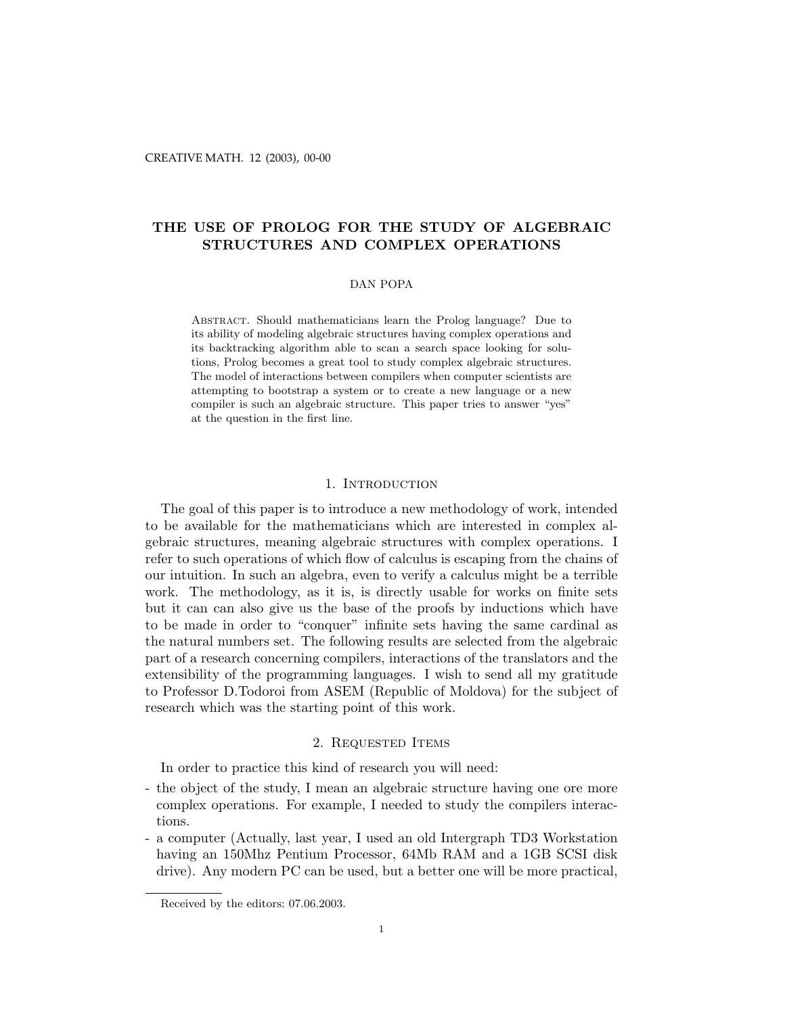# THE USE OF PROLOG FOR THE STUDY OF ALGEBRAIC STRUCTURES AND COMPLEX OPERATIONS

### DAN POPA

Abstract. Should mathematicians learn the Prolog language? Due to its ability of modeling algebraic structures having complex operations and its backtracking algorithm able to scan a search space looking for solutions, Prolog becomes a great tool to study complex algebraic structures. The model of interactions between compilers when computer scientists are attempting to bootstrap a system or to create a new language or a new compiler is such an algebraic structure. This paper tries to answer "yes" at the question in the first line.

# 1. INTRODUCTION

The goal of this paper is to introduce a new methodology of work, intended to be available for the mathematicians which are interested in complex algebraic structures, meaning algebraic structures with complex operations. I refer to such operations of which flow of calculus is escaping from the chains of our intuition. In such an algebra, even to verify a calculus might be a terrible work. The methodology, as it is, is directly usable for works on finite sets but it can can also give us the base of the proofs by inductions which have to be made in order to "conquer" infinite sets having the same cardinal as the natural numbers set. The following results are selected from the algebraic part of a research concerning compilers, interactions of the translators and the extensibility of the programming languages. I wish to send all my gratitude to Professor D.Todoroi from ASEM (Republic of Moldova) for the subject of research which was the starting point of this work.

# 2. Requested Items

In order to practice this kind of research you will need:

- the object of the study, I mean an algebraic structure having one ore more complex operations. For example, I needed to study the compilers interactions.
- a computer (Actually, last year, I used an old Intergraph TD3 Workstation having an 150Mhz Pentium Processor, 64Mb RAM and a 1GB SCSI disk drive). Any modern PC can be used, but a better one will be more practical,

Received by the editors: 07.06.2003.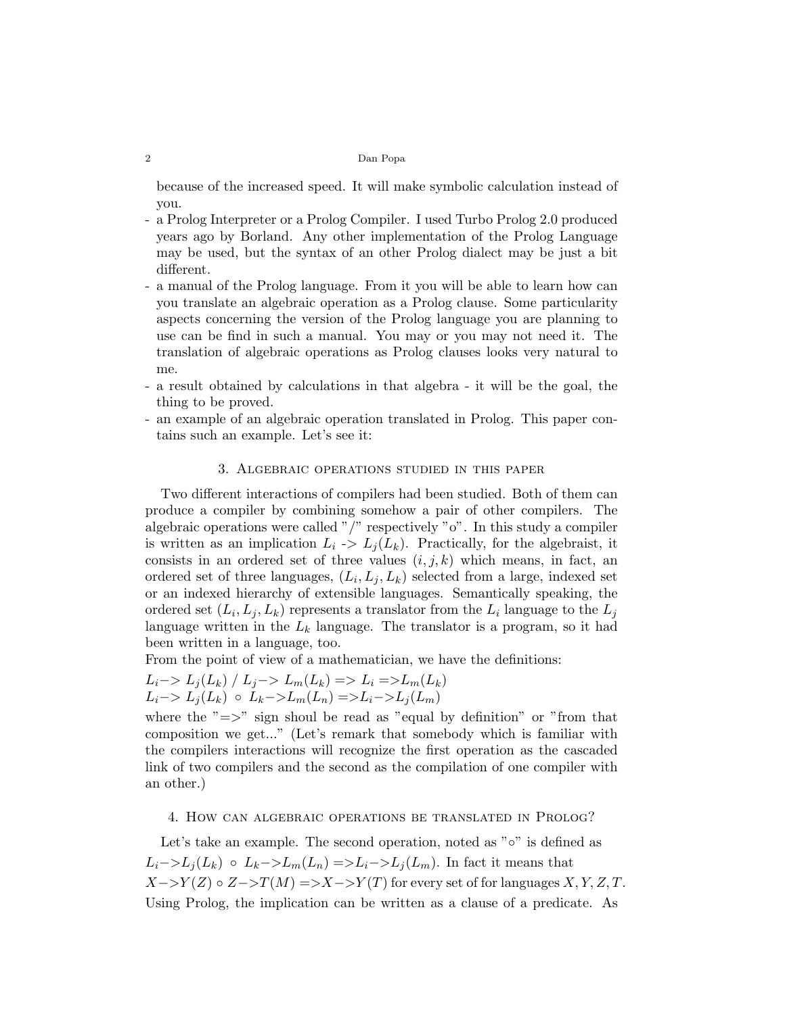because of the increased speed. It will make symbolic calculation instead of you.

- a Prolog Interpreter or a Prolog Compiler. I used Turbo Prolog 2.0 produced years ago by Borland. Any other implementation of the Prolog Language may be used, but the syntax of an other Prolog dialect may be just a bit different.
- a manual of the Prolog language. From it you will be able to learn how can you translate an algebraic operation as a Prolog clause. Some particularity aspects concerning the version of the Prolog language you are planning to use can be find in such a manual. You may or you may not need it. The translation of algebraic operations as Prolog clauses looks very natural to me.
- a result obtained by calculations in that algebra it will be the goal, the thing to be proved.
- an example of an algebraic operation translated in Prolog. This paper contains such an example. Let's see it:

#### 3. Algebraic operations studied in this paper

Two different interactions of compilers had been studied. Both of them can produce a compiler by combining somehow a pair of other compilers. The algebraic operations were called "/" respectively "o". In this study a compiler is written as an implication  $L_i \rightarrow L_i(L_k)$ . Practically, for the algebraist, it consists in an ordered set of three values  $(i, j, k)$  which means, in fact, an ordered set of three languages,  $(L_i, L_j, L_k)$  selected from a large, indexed set or an indexed hierarchy of extensible languages. Semantically speaking, the ordered set  $(L_i, L_j, L_k)$  represents a translator from the  $L_i$  language to the  $L_j$ language written in the  $L_k$  language. The translator is a program, so it had been written in a language, too.

From the point of view of a mathematician, we have the definitions:

$$
L_i-> L_j(L_k) / L_j->L_m(L_k) => L_i => L_m(L_k)
$$
  

$$
L_i-> L_j(L_k) \circ L_k->L_m(L_n) => L_i->L_j(L_m)
$$

where the " $\Rightarrow$ " sign shoul be read as "equal by definition" or "from that composition we get..." (Let's remark that somebody which is familiar with the compilers interactions will recognize the first operation as the cascaded link of two compilers and the second as the compilation of one compiler with an other.)

## 4. How can algebraic operations be translated in Prolog?

Let's take an example. The second operation, noted as "◦" is defined as  $L_i$ −> $L_j(L_k)$  ∘  $L_k$ −> $L_m(L_n)$  => $L_i$ −> $L_j(L_m)$ . In fact it means that  $X \rightarrow Y(Z) \circ Z \rightarrow T(M) \Rightarrow X \rightarrow Y(T)$  for every set of for languages  $X, Y, Z, T$ . Using Prolog, the implication can be written as a clause of a predicate. As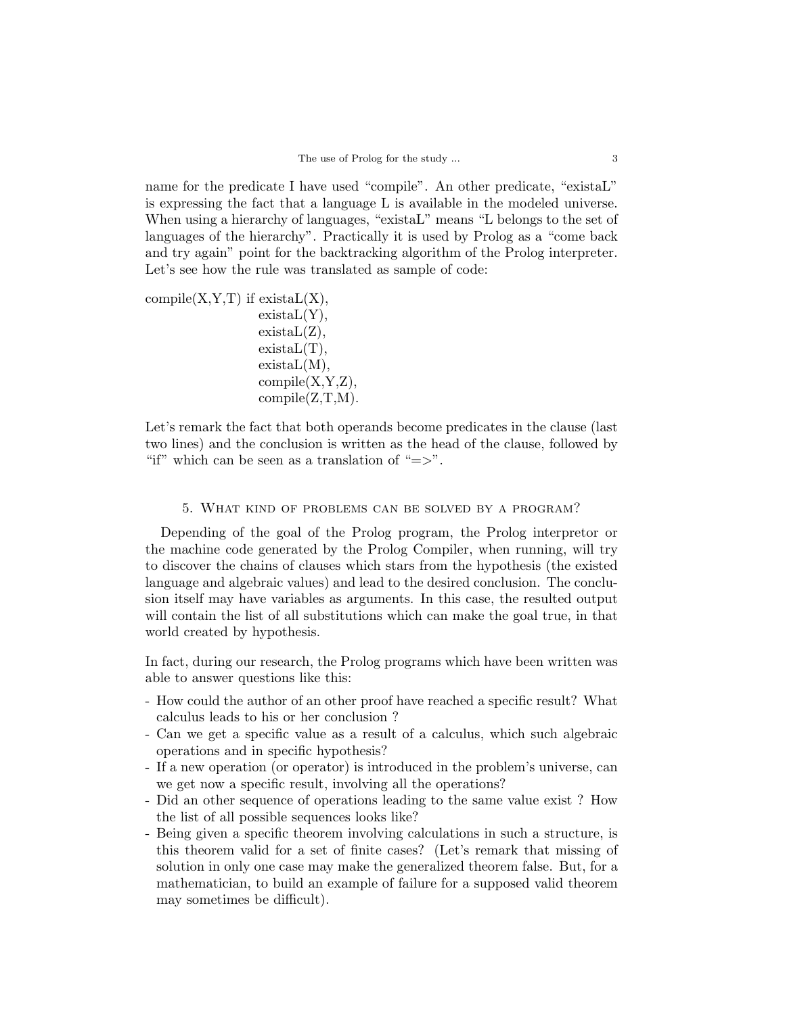name for the predicate I have used "compile". An other predicate, "existaL" is expressing the fact that a language L is available in the modeled universe. When using a hierarchy of languages, "existaL" means "L belongs to the set of languages of the hierarchy". Practically it is used by Prolog as a "come back and try again" point for the backtracking algorithm of the Prolog interpreter. Let's see how the rule was translated as sample of code:

compile $(X, Y, T)$  if existal $L(X)$ ,  $existaL(Y),$  $existaL(Z),$  $existal(T),$ existaL(M),  $compile(X,Y,Z),$  $compile(Z,T,M)$ .

Let's remark the fact that both operands become predicates in the clause (last two lines) and the conclusion is written as the head of the clause, followed by "if" which can be seen as a translation of " $\Rightarrow$ ".

# 5. What kind of problems can be solved by a program?

Depending of the goal of the Prolog program, the Prolog interpretor or the machine code generated by the Prolog Compiler, when running, will try to discover the chains of clauses which stars from the hypothesis (the existed language and algebraic values) and lead to the desired conclusion. The conclusion itself may have variables as arguments. In this case, the resulted output will contain the list of all substitutions which can make the goal true, in that world created by hypothesis.

In fact, during our research, the Prolog programs which have been written was able to answer questions like this:

- How could the author of an other proof have reached a specific result? What calculus leads to his or her conclusion ?
- Can we get a specific value as a result of a calculus, which such algebraic operations and in specific hypothesis?
- If a new operation (or operator) is introduced in the problem's universe, can we get now a specific result, involving all the operations?
- Did an other sequence of operations leading to the same value exist ? How the list of all possible sequences looks like?
- Being given a specific theorem involving calculations in such a structure, is this theorem valid for a set of finite cases? (Let's remark that missing of solution in only one case may make the generalized theorem false. But, for a mathematician, to build an example of failure for a supposed valid theorem may sometimes be difficult).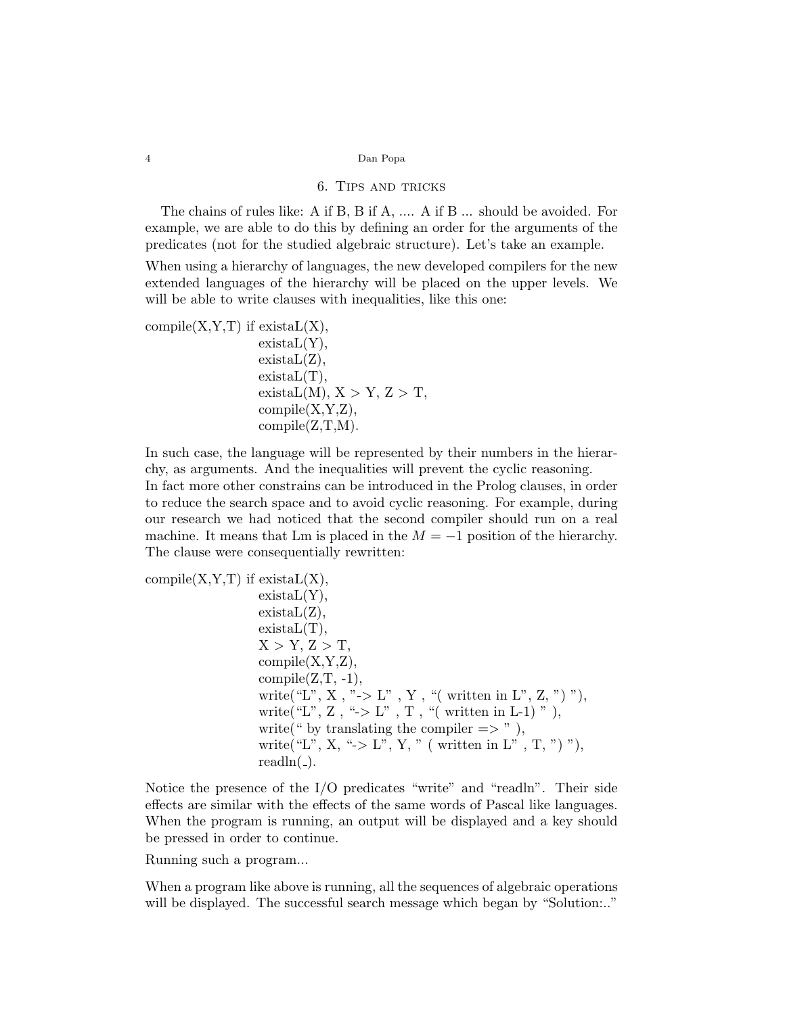### 6. Tips and tricks

The chains of rules like: A if B, B if A, .... A if B ... should be avoided. For example, we are able to do this by defining an order for the arguments of the predicates (not for the studied algebraic structure). Let's take an example.

When using a hierarchy of languages, the new developed compilers for the new extended languages of the hierarchy will be placed on the upper levels. We will be able to write clauses with inequalities, like this one:

compile $(X, Y, T)$  if existal $L(X)$ ,

 $existaL(Y),$  $existaL(Z),$  $existal(T),$  $existaL(M), X > Y, Z > T,$  $compile(X,Y,Z),$  $compile(Z,T,M)$ .

In such case, the language will be represented by their numbers in the hierarchy, as arguments. And the inequalities will prevent the cyclic reasoning. In fact more other constrains can be introduced in the Prolog clauses, in order to reduce the search space and to avoid cyclic reasoning. For example, during our research we had noticed that the second compiler should run on a real machine. It means that Lm is placed in the  $M = -1$  position of the hierarchy.

compile $(X, Y, T)$  if exista $L(X)$ ,

The clause were consequentially rewritten:

 $existaL(Y),$  $existaL(Z),$  $existal(T),$  $X > Y, Z > T$  $compile(X,Y,Z),$  $compile(Z,T, -1),$ write<br>("L", X , "-> L" , Y , "( written in L", Z, ") "), write("L", Z, " $>$  L", T, "(written in L-1)"), write(" by translating the compiler  $\Rightarrow$ "), write("L", X, " $>$  L", Y, " ( written in L", T, ")"), readln $(\_)$ .

Notice the presence of the I/O predicates "write" and "readln". Their side effects are similar with the effects of the same words of Pascal like languages. When the program is running, an output will be displayed and a key should be pressed in order to continue.

Running such a program...

When a program like above is running, all the sequences of algebraic operations will be displayed. The successful search message which began by "Solution..."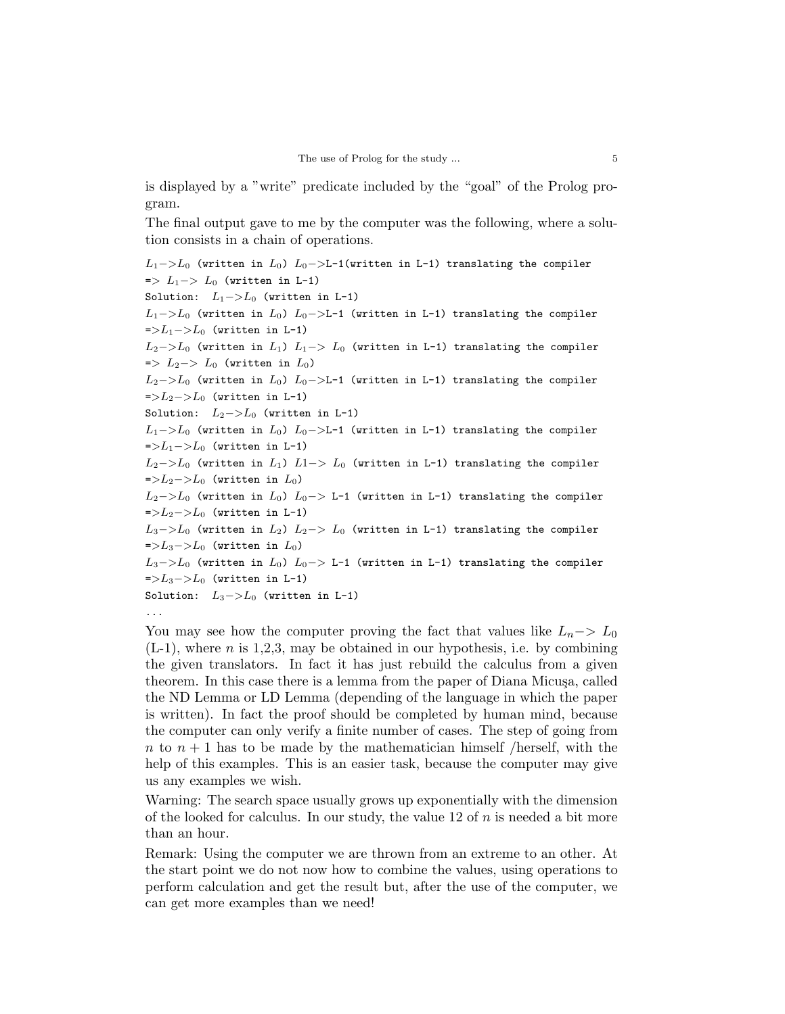is displayed by a "write" predicate included by the "goal" of the Prolog program.

The final output gave to me by the computer was the following, where a solution consists in a chain of operations.

```
L_1->L_0 (written in L_0) L_0->L-1(written in L-1) translating the compiler
\Rightarrow L_1 \Rightarrow L_0 (written in L-1)
Solution: L_1->L_0 (written in L-1)
L_1->L_0 (written in L_0) L_0->L-1 (written in L-1) translating the compiler
=L_1-1/L_0 (written in L-1)
L_2−>L_0 (written in L_1) L_1 -> L_0 (written in L-1) translating the compiler
\Rightarrow L_2-> L_0 (written in L_0)
L_2->L_0 (written in L_0) L_0->L-1 (written in L-1) translating the compiler
=>L_2->L_0 (written in L-1)
Solution: L_2->L_0 (written in L-1)
L_1->L<sub>0</sub> (written in L<sub>0</sub>) L_0->L-1 (written in L-1) translating the compiler
=L_1-1<sub>0</sub> (written in L-1)
L_2->L_0 (written in L_1) L1-> L_0 (written in L-1) translating the compiler
=>L_2->L_0 (written in L_0)
L_2->L<sub>0</sub> (written in L<sub>0</sub>) L<sub>0</sub>-> L-1 (written in L-1) translating the compiler
=>L_2->L_0 (written in L-1)
L_3->L_0 (written in L_2) L_2-> L_0 (written in L-1) translating the compiler
=>L_3->L_0 (written in L_0)
L_3->L_0 (written in L_0) L_0-> L-1 (written in L-1) translating the compiler
=>L_3->L_0 (written in L-1)
Solution: L_3->L_0 (written in L-1)
...
```
You may see how the computer proving the fact that values like  $L_n$  –>  $L_0$  $(L-1)$ , where n is 1,2,3, may be obtained in our hypothesis, i.e. by combining the given translators. In fact it has just rebuild the calculus from a given theorem. In this case there is a lemma from the paper of Diana Micusa, called the ND Lemma or LD Lemma (depending of the language in which the paper is written). In fact the proof should be completed by human mind, because the computer can only verify a finite number of cases. The step of going from n to  $n + 1$  has to be made by the mathematician himself /herself, with the help of this examples. This is an easier task, because the computer may give us any examples we wish.

Warning: The search space usually grows up exponentially with the dimension of the looked for calculus. In our study, the value 12 of  $n$  is needed a bit more than an hour.

Remark: Using the computer we are thrown from an extreme to an other. At the start point we do not now how to combine the values, using operations to perform calculation and get the result but, after the use of the computer, we can get more examples than we need!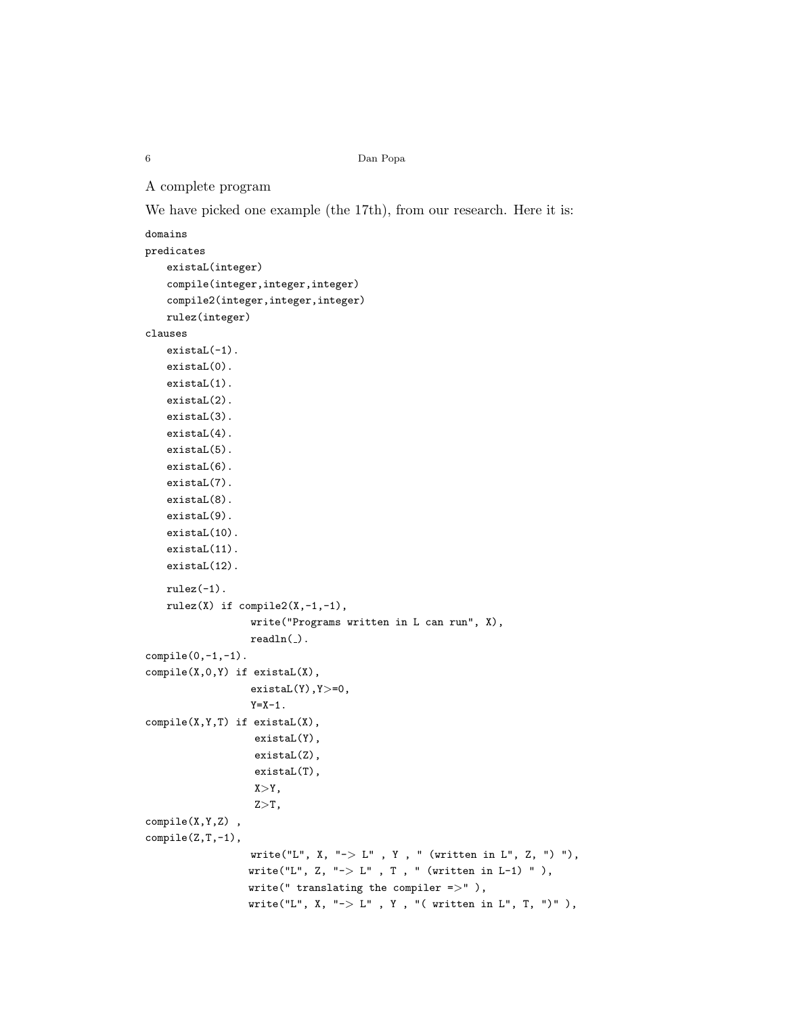```
A complete program
```
We have picked one example (the 17<sup>th</sup>), from our research. Here it is:

```
domains
predicates
   existaL(integer)
   compile(integer,integer,integer)
   compile2(integer,integer,integer)
   rulez(integer)
clauses
   existaL(-1).
   existaL(0).
   existaL(1).
   existaL(2).
   existaL(3).
   existaL(4).
   existaL(5).
   existaL(6).
   existaL(7).
   existaL(8).
   existaL(9).
   existaL(10).
   existaL(11).
   existaL(12).
   rulez(-1).
   rulez(X) if compile2(X,-1,-1),
                  write("Programs written in L can run", X),
                  readln( ).
compile(0,-1,-1).
compile(X,0,Y) if existaL(X),
                  existaL(Y),Y>=0,
                  Y=X-1.
compile(X,Y,T) if existaL(X),
                  existaL(Y),
                  existaL(Z),
                   existaL(T),
                  X>Y,
                  Z>T,
compile(X,Y,Z) ,
compile(Z,T,-1),
                  write("L", X, "-> L", Y, " (written in L", Z, ") "),
                 write("L", Z, "-> L", T, " (written in L-1) "),
                 write(" translating the compiler \Rightarrow" ),
                 write("L", X, "\rightarrow L", Y, "( written in L", T, ")"),
```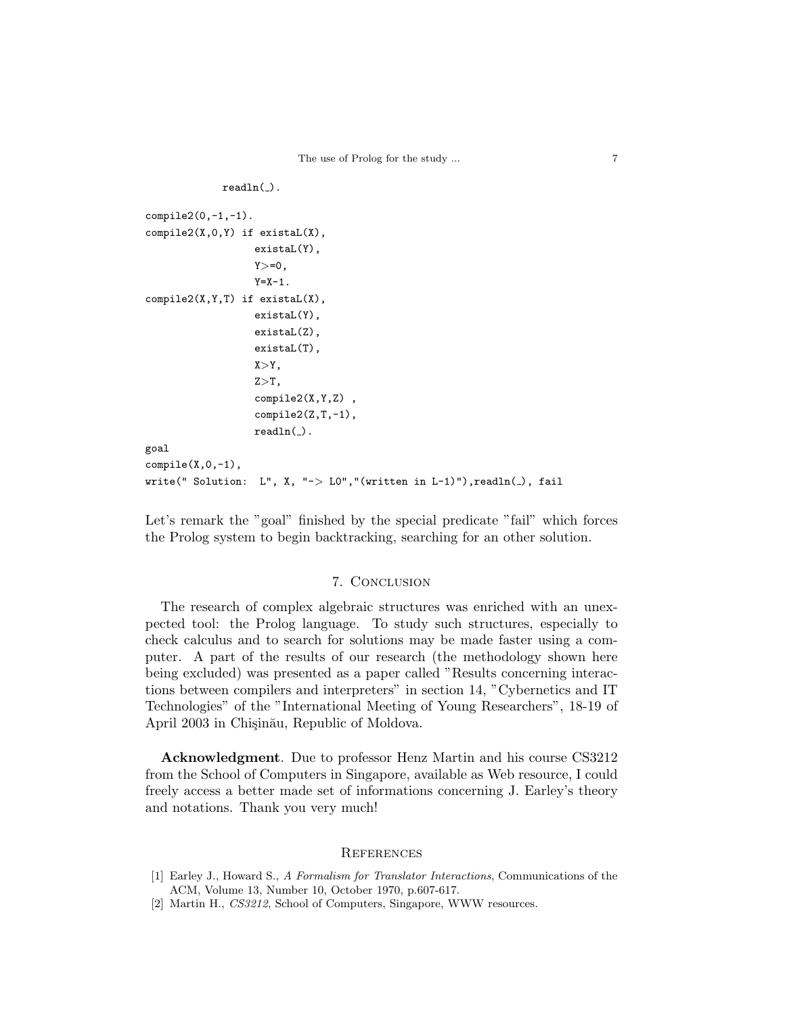```
readln(.).
compile2(0,-1,-1).
compile2(X,0,Y) if existaL(X),
                    existaL(Y),
                    Y>=0,
                    Y = X - 1.
compile2(X,Y,T) if existaL(X),
                    existaL(Y),
                    existaL(Z),
                    existaL(T),
                    X>Y,
                    Z>T,
                    compile2(X,Y,Z) ,
                    compile2(Z,T,-1),
                    readln(.).
goal
compile(X,0,-1),
write(" Solution: L", X, "\rightarrow L0","(written in L-1)"), readln(_), fail
```
Let's remark the "goal" finished by the special predicate "fail" which forces the Prolog system to begin backtracking, searching for an other solution.

## 7. Conclusion

The research of complex algebraic structures was enriched with an unexpected tool: the Prolog language. To study such structures, especially to check calculus and to search for solutions may be made faster using a computer. A part of the results of our research (the methodology shown here being excluded) was presented as a paper called "Results concerning interactions between compilers and interpreters" in section 14, "Cybernetics and IT Technologies" of the "International Meeting of Young Researchers", 18-19 of April 2003 in Chisinău, Republic of Moldova.

Acknowledgment. Due to professor Henz Martin and his course CS3212 from the School of Computers in Singapore, available as Web resource, I could freely access a better made set of informations concerning J. Earley's theory and notations. Thank you very much!

# **REFERENCES**

- [1] Earley J., Howard S., A Formalism for Translator Interactions, Communications of the ACM, Volume 13, Number 10, October 1970, p.607-617.
- [2] Martin H., CS3212, School of Computers, Singapore, WWW resources.